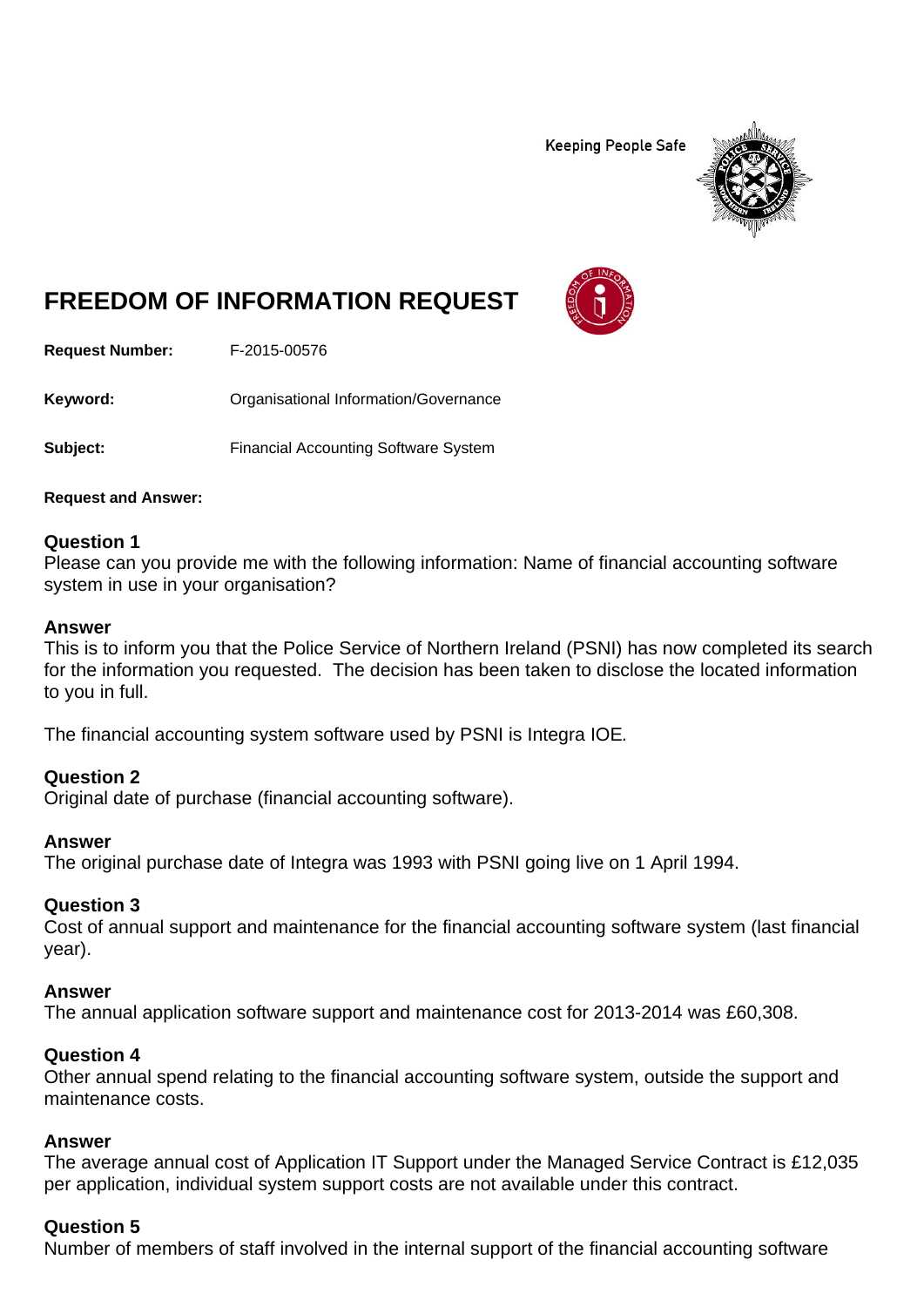**Keeping People Safe** 



# **FREEDOM OF INFORMATION REQUEST**

**Request Number:** F-2015-00576

Keyword: **Communistry Communists** Organisational Information/Governance

**Subject:** Financial Accounting Software System

**Request and Answer:** 

## **Question 1**

Please can you provide me with the following information: Name of financial accounting software system in use in your organisation?

#### **Answer**

This is to inform you that the Police Service of Northern Ireland (PSNI) has now completed its search for the information you requested. The decision has been taken to disclose the located information to you in full.

The financial accounting system software used by PSNI is Integra IOE*.* 

## **Question 2**

Original date of purchase (financial accounting software).

## **Answer**

The original purchase date of Integra was 1993 with PSNI going live on 1 April 1994.

## **Question 3**

Cost of annual support and maintenance for the financial accounting software system (last financial year).

## **Answer**

The annual application software support and maintenance cost for 2013-2014 was £60,308.

## **Question 4**

Other annual spend relating to the financial accounting software system, outside the support and maintenance costs.

## **Answer**

The average annual cost of Application IT Support under the Managed Service Contract is £12,035 per application, individual system support costs are not available under this contract.

## **Question 5**

Number of members of staff involved in the internal support of the financial accounting software